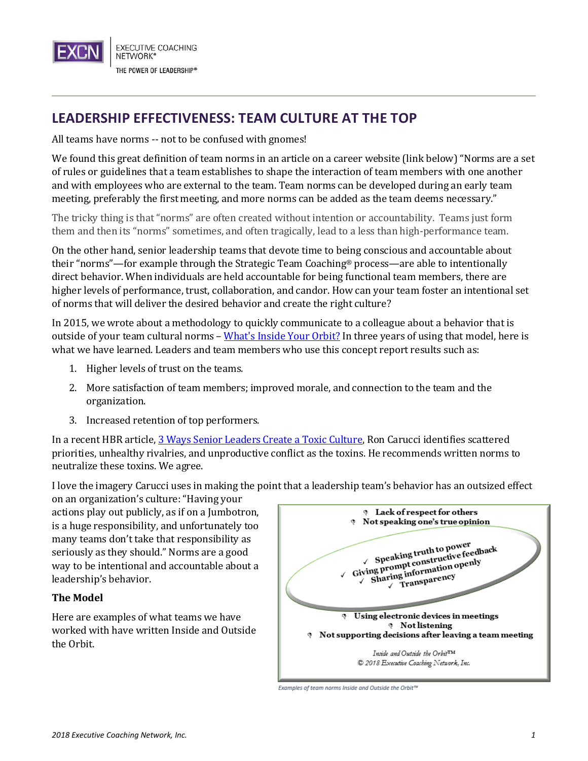

## **LEADERSHIP EFFECTIVENESS: TEAM CULTURE AT THE TOP**

All teams have norms -- not to be confused with gnomes!

We found this great definition of team norms in an article on a career website (link below) "Norms are a set of rules or guidelines that a team establishes to shape the interaction of team members with one another and with employees who are external to the team. Team norms can be developed during an early team meeting, preferably the first meeting, and more norms can be added as the team deems necessary."

The tricky thing is that "norms" are often created without intention or accountability. Teams just form them and then its "norms" sometimes, and often tragically, lead to a less than high-performance team.

On the other hand, senior leadership teams that devote time to being conscious and accountable about their "norms"—for example through the Strategic Team Coaching® process—are able to intentionally direct behavior. When individuals are held accountable for being functional team members, there are higher levels of performance, trust, collaboration, and candor. How can your team foster an intentional set of norms that will deliver the desired behavior and create the right culture?

In 2015, we wrote about a methodology to quickly communicate to a colleague about a behavior that is outside of your team cultural norms – What['s Inside Your Orbit?](http://www.executivecoaching.com/leadership-effectiveness-whats-inside-your-orbit/) In three years of using that model, here is what we have learned. Leaders and team members who use this concept report results such as:

- 1. Higher levels of trust on the teams.
- 2. More satisfaction of team members; improved morale, and connection to the team and the organization.
- 3. Increased retention of top performers.

In a recent HBR article[, 3 Ways Senior Leaders Create a Toxic Culture,](https://hbr.org/2018/05/3-ways-senior-leaders-create-a-toxic-culture) Ron Carucci identifies scattered priorities, unhealthy rivalries, and unproductive conflict as the toxins. He recommends written norms to neutralize these toxins. We agree.

I love the imagery Carucci uses in making the point that a leadership team's behavior has an outsized effect

on an organization's culture: "Having your actions play out publicly, as if on a Jumbotron, is a huge responsibility, and unfortunately too many teams don't take that responsibility as seriously as they should." Norms are a good way to be intentional and accountable about a leadership's behavior.

## **The Model**

Here are examples of what teams we have worked with have written Inside and Outside the Orbit.



Examples of team norms Inside and Outside the Orbit™